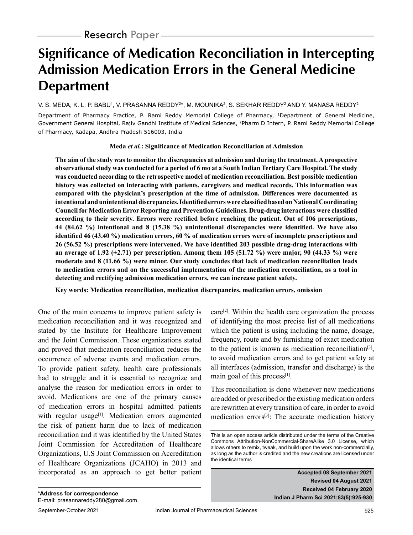# **Significance of Medication Reconciliation in Intercepting Admission Medication Errors in the General Medicine Department**

#### V. S. MEDA, K. L. P. BABU', V. PRASANNA REDDY<sup>2\*</sup>, M. MOUNIKA<sup>2</sup>, S. SEKHAR REDDY<sup>2</sup> AND Y. MANASA REDDY<sup>2</sup>

Department of Pharmacy Practice, P. Rami Reddy Memorial College of Pharmacy, 1Department of General Medicine, Government General Hospital, Rajiv Gandhi Institute of Medical Sciences, 2Pharm D Intern, P. Rami Reddy Memorial College of Pharmacy, Kadapa, Andhra Pradesh 516003, India

#### **Meda** *et al.***: Significance of Medication Reconciliation at Admission**

**The aim of the study was to monitor the discrepancies at admission and during the treatment. A prospective observational study was conducted for a period of 6 mo at a South Indian Tertiary Care Hospital. The study was conducted according to the retrospective model of medication reconciliation. Best possible medication history was collected on interacting with patients, caregivers and medical records. This information was compared with the physician's prescription at the time of admission. Differences were documented as intentional and unintentional discrepancies. Identified errors were classified based on National Coordinating Council for Medication Error Reporting and Prevention Guidelines. Drug-drug interactions were classified according to their severity. Errors were rectified before reaching the patient. Out of 106 prescriptions, 44 (84.62 %) intentional and 8 (15.38 %) unintentional discrepancies were identified. We have also identified 46 (43.40 %) medication errors, 60 % of medication errors were of incomplete prescriptions and 26 (56.52 %) prescriptions were intervened. We have identified 203 possible drug-drug interactions with an average of 1.92 (±2.71) per prescription. Among them 105 (51.72 %) were major, 90 (44.33 %) were moderate and 8 (11.66 %) were minor. Our study concludes that lack of medication reconciliation leads to medication errors and on the successful implementation of the medication reconciliation, as a tool in detecting and rectifying admission medication errors, we can increase patient safety.**

**Key words: Medication reconciliation, medication discrepancies, medication errors, omission**

One of the main concerns to improve patient safety is medication reconciliation and it was recognized and stated by the Institute for Healthcare Improvement and the Joint Commission. These organizations stated and proved that medication reconciliation reduces the occurrence of adverse events and medication errors. To provide patient safety, health care professionals had to struggle and it is essential to recognize and analyse the reason for medication errors in order to avoid. Medications are one of the primary causes of medication errors in hospital admitted patients with regular usage<sup>[1]</sup>. Medication errors augmented the risk of patient harm due to lack of medication reconciliation and it was identified by the United States Joint Commission for Accreditation of Healthcare Organizations, U.S Joint Commission on Accreditation of Healthcare Organizations (JCAHO) in 2013 and incorporated as an approach to get better patient care<sup>[2]</sup>. Within the health care organization the process of identifying the most precise list of all medications which the patient is using including the name, dosage, frequency, route and by furnishing of exact medication to the patient is known as medication reconciliation<sup>[3]</sup>, to avoid medication errors and to get patient safety at all interfaces (admission, transfer and discharge) is the main goal of this process $[1]$ .

This reconciliation is done whenever new medications are added or prescribed or the existing medication orders are rewritten at every transition of care, in order to avoid medication errors<sup>[3]</sup>: The accurate medication history

**Accepted 08 September 2021 Revised 04 August 2021 Received 04 February 2020 Indian J Pharm Sci 2021;83(5):925-930**

This is an open access article distributed under the terms of the Creative Commons Attribution-NonCommercial-ShareAlike 3.0 License, which allows others to remix, tweak, and build upon the work non-commercially, as long as the author is credited and the new creations are licensed under the identical terms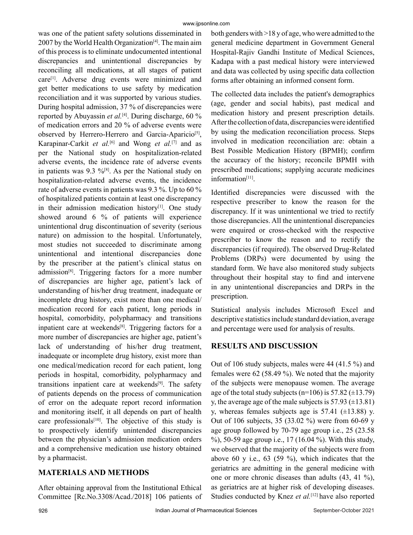was one of the patient safety solutions disseminated in 2007 by the World Health Organization<sup>[4]</sup>. The main aim of this process is to eliminate undocumented intentional discrepancies and unintentional discrepancies by reconciling all medications, at all stages of patient care[1]. Adverse drug events were minimized and get better medications to use safety by medication reconciliation and it was supported by various studies. During hospital admission, 37 % of discrepancies were reported by Abuyassin *et al.*<sup>[4]</sup>. During discharge, 60 % of medication errors and 20 % of adverse events were observed by Herrero-Herrero and Garcia-Aparicio<sup>[5]</sup>, Karapinar-Carkit *et al.*[6] and Wong *et al.*[7] and as per the National study on hospitalization-related adverse events, the incidence rate of adverse events in patients was 9.3  $\frac{9}{8}$ [8]. As per the National study on hospitalization-related adverse events, the incidence rate of adverse events in patients was 9.3 %. Up to 60 % of hospitalized patients contain at least one discrepancy in their admission medication history<sup>[1]</sup>. One study showed around 6 % of patients will experience unintentional drug discontinuation of severity (serious nature) on admission to the hospital. Unfortunately, most studies not succeeded to discriminate among unintentional and intentional discrepancies done by the prescriber at the patient's clinical status on admission $[8]$ . Triggering factors for a more number of discrepancies are higher age, patient's lack of understanding of his/her drug treatment, inadequate or incomplete drug history, exist more than one medical/ medication record for each patient, long periods in hospital, comorbidity, polypharmacy and transitions inpatient care at weekends<sup>[8]</sup>. Triggering factors for a more number of discrepancies are higher age, patient's lack of understanding of his/her drug treatment, inadequate or incomplete drug history, exist more than one medical/medication record for each patient, long periods in hospital, comorbidity, polypharmacy and transitions inpatient care at weekends[9]. The safety of patients depends on the process of communication of error on the adequate report record information and monitoring itself, it all depends on part of health care professionals<sup>[10]</sup>. The objective of this study is to prospectively identify unintended discrepancies between the physician's admission medication orders and a comprehensive medication use history obtained by a pharmacist.

# **MATERIALS AND METHODS**

After obtaining approval from the Institutional Ethical Committee [Rc.No.3308/Acad./2018] 106 patients of both genders with >18 y of age, who were admitted to the general medicine department in Government General Hospital-Rajiv Gandhi Institute of Medical Sciences, Kadapa with a past medical history were interviewed and data was collected by using specific data collection forms after obtaining an informed consent form.

The collected data includes the patient's demographics (age, gender and social habits), past medical and medication history and present prescription details. After the collection of data, discrepancies were identified by using the medication reconciliation process. Steps involved in medication reconciliation are: obtain a Best Possible Medication History (BPMH); confirm the accuracy of the history; reconcile BPMH with prescribed medications; supplying accurate medicines information[11].

Identified discrepancies were discussed with the respective prescriber to know the reason for the discrepancy. If it was unintentional we tried to rectify those discrepancies. All the unintentional discrepancies were enquired or cross-checked with the respective prescriber to know the reason and to rectify the discrepancies (if required). The observed Drug-Related Problems (DRPs) were documented by using the standard form. We have also monitored study subjects throughout their hospital stay to find and intervene in any unintentional discrepancies and DRPs in the prescription.

Statistical analysis includes Microsoft Excel and descriptive statistics include standard deviation, average and percentage were used for analysis of results.

# **RESULTS AND DISCUSSION**

Out of 106 study subjects, males were 44 (41.5 %) and females were 62 (58.49 %). We noted that the majority of the subjects were menopause women. The average age of the total study subjects ( $n=106$ ) is 57.82 ( $\pm 13.79$ ) y, the average age of the male subjects is  $57.93 \ (\pm 13.81)$ y, whereas females subjects age is  $57.41$  ( $\pm$ 13.88) y. Out of 106 subjects, 35 (33.02 %) were from 60-69 y age group followed by 70-79 age group i.e., 25 (23.58 %), 50-59 age group i.e., 17 (16.04 %). With this study, we observed that the majority of the subjects were from above 60 y i.e., 63 (59 %), which indicates that the geriatrics are admitting in the general medicine with one or more chronic diseases than adults (43, 41 %), as geriatrics are at higher risk of developing diseases. Studies conducted by Knez *et al.*[12] have also reported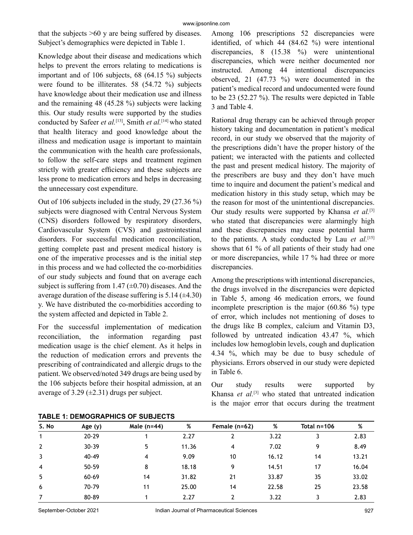that the subjects >60 y are being suffered by diseases. Subject's demographics were depicted in Table 1.

Knowledge about their disease and medications which helps to prevent the errors relating to medications is important and of 106 subjects, 68 (64.15 %) subjects were found to be illiterates. 58 (54.72 %) subjects have knowledge about their medication use and illness and the remaining 48 (45.28 %) subjects were lacking this. Our study results were supported by the studies conducted by Safeer *et al.*[13], Smith *et al.*[14] who stated that health literacy and good knowledge about the illness and medication usage is important to maintain the communication with the health care professionals, to follow the self-care steps and treatment regimen strictly with greater efficiency and these subjects are less prone to medication errors and helps in decreasing the unnecessary cost expenditure.

Out of 106 subjects included in the study, 29 (27.36 %) subjects were diagnosed with Central Nervous System (CNS) disorders followed by respiratory disorders, Cardiovascular System (CVS) and gastrointestinal disorders. For successful medication reconciliation, getting complete past and present medical history is one of the imperative processes and is the initial step in this process and we had collected the co-morbidities of our study subjects and found that on average each subject is suffering from 1.47 ( $\pm$ 0.70) diseases. And the average duration of the disease suffering is  $5.14 \ (\pm 4.30)$ y. We have distributed the co-morbidities according to the system affected and depicted in Table 2.

For the successful implementation of medication reconciliation, the information regarding past medication usage is the chief element. As it helps in the reduction of medication errors and prevents the prescribing of contraindicated and allergic drugs to the patient. We observed/noted 349 drugs are being used by the 106 subjects before their hospital admission, at an average of 3.29  $(\pm 2.31)$  drugs per subject.

Among 106 prescriptions 52 discrepancies were identified, of which 44 (84.62 %) were intentional discrepancies, 8 (15.38 %) were unintentional discrepancies, which were neither documented nor instructed. Among 44 intentional discrepancies observed, 21 (47.73 %) were documented in the patient's medical record and undocumented were found to be 23 (52.27 %). The results were depicted in Table 3 and Table 4.

Rational drug therapy can be achieved through proper history taking and documentation in patient's medical record, in our study we observed that the majority of the prescriptions didn't have the proper history of the patient; we interacted with the patients and collected the past and present medical history. The majority of the prescribers are busy and they don't have much time to inquire and document the patient's medical and medication history in this study setup, which may be the reason for most of the unintentional discrepancies. Our study results were supported by Khansa *et al.*<sup>[3]</sup> who stated that discrepancies were alarmingly high and these discrepancies may cause potential harm to the patients. A study conducted by Lau *et al.*[15] shows that 61 % of all patients of their study had one or more discrepancies, while 17 % had three or more discrepancies.

Among the prescriptions with intentional discrepancies, the drugs involved in the discrepancies were depicted in Table 5, among 46 medication errors, we found incomplete prescription is the major (60.86 %) type of error, which includes not mentioning of doses to the drugs like B complex, calcium and Vitamin D3, followed by untreated indication 43.47 %, which includes low hemoglobin levels, cough and duplication 4.34 %, which may be due to busy schedule of physicians. Errors observed in our study were depicted in Table 6.

Our study results were supported by Khansa *et al.*[3] who stated that untreated indication is the major error that occurs during the treatment

| S. No          | Age (y)   | Male $(n=44)$ | %     | Female $(n=62)$ | %     | Total n=106 | %     |
|----------------|-----------|---------------|-------|-----------------|-------|-------------|-------|
|                | $20 - 29$ |               | 2.27  |                 | 3.22  |             | 2.83  |
| $\overline{2}$ | $30 - 39$ | 5             | 11.36 | 4               | 7.02  | 9           | 8.49  |
| 3              | 40-49     | 4             | 9.09  | 10              | 16.12 | 14          | 13.21 |
| $\overline{4}$ | $50 - 59$ | 8             | 18.18 | q               | 14.51 | 17          | 16.04 |
| 5              | 60-69     | 14            | 31.82 | 21              | 33.87 | 35          | 33.02 |
| 6              | 70-79     | 11            | 25.00 | 14              | 22.58 | 25          | 23.58 |
|                | 80-89     |               | 2.27  |                 | 3.22  |             | 2.83  |

**TABLE 1: DEMOGRAPHICS OF SUBJECTS**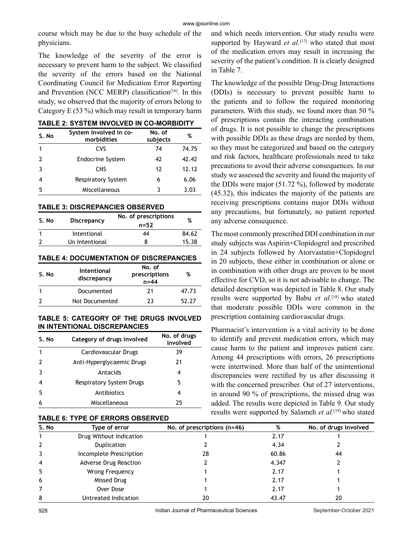course which may be due to the busy schedule of the physicians.

The knowledge of the severity of the error is necessary to prevent harm to the subject. We classified the severity of the errors based on the National Coordinating Council for Medication Error Reporting and Prevention (NCC MERP) classification<sup>[16]</sup>. In this study, we observed that the majority of errors belong to Category E (53 %) which may result in temporary harm

|  | <b>TABLE 2: SYSTEM INVOLVED IN CO-MORBIDITY</b> |  |
|--|-------------------------------------------------|--|
|--|-------------------------------------------------|--|

| S. No | System involved in co-<br>morbidities | No. of<br>subjects | %     |
|-------|---------------------------------------|--------------------|-------|
|       | CVS                                   | 74                 | 74.75 |
|       | <b>Endocrine System</b>               | 42                 | 42.42 |
| ર     | <b>CNS</b>                            | 12                 | 12.12 |
|       | <b>Respiratory System</b>             | 6                  | 6.06  |
| 5     | Miscellaneous                         |                    | 3.03  |

**TABLE 3: DISCREPANCIES OBSERVED** 

| S. No | <b>Discrepancy</b> | No. of prescriptions | %     |
|-------|--------------------|----------------------|-------|
|       |                    | $n = 52$             |       |
|       | Intentional        | 44                   | 84.62 |
|       | Un Intentional     |                      | 15.38 |

### **TABLE 4: DOCUMENTATION OF DISCREPANCIES**

| S. No | Intentional<br>discrepancy | No. of<br>prescriptions<br>$n = 44$ | %     |
|-------|----------------------------|-------------------------------------|-------|
|       | Documented                 | 21                                  | 47.73 |
|       | Not Documented             | 23                                  | 52.27 |

#### **TABLE 5: CATEGORY OF THE DRUGS INVOLVED IN INTENTIONAL DISCREPANCIES**

| Category of drugs involved<br>S.No |                           | No. of drugs<br>involved |
|------------------------------------|---------------------------|--------------------------|
|                                    | Cardiovascular Drugs      | 39                       |
|                                    | Anti-Hyperglycaemic Drugs | 21                       |
|                                    | Antacids                  | 4                        |
|                                    | Respiratory System Drugs  | 5                        |
| 5                                  | Antibiotics               | 4                        |
|                                    | Miscellaneous             | 25                       |

#### **TABLE 6: TYPE OF ERRORS OBSERVED**

and which needs intervention. Our study results were supported by Hayward *et al.*<sup>[17]</sup> who stated that most of the medication errors may result in increasing the severity of the patient's condition. It is clearly designed in Table 7.

The knowledge of the possible Drug-Drug Interactions (DDIs) is necessary to prevent possible harm to the patients and to follow the required monitoring parameters. With this study, we found more than 50 % of prescriptions contain the interacting combination of drugs. It is not possible to change the prescriptions with possible DDIs as these drugs are needed by them, so they must be categorized and based on the category and risk factors, healthcare professionals need to take precautions to avoid their adverse consequences. In our study we assessed the severity and found the majority of the DDIs were major (51.72 %), followed by moderate (45.32), this indicates the majority of the patients are receiving prescriptions contains major DDIs without any precautions, but fortunately, no patient reported any adverse consequence.

The most commonly prescribed DDI combination in our study subjects was Aspirin+Clopidogrel and prescribed in 24 subjects followed by Atorvastatin+Clopidogrel in 20 subjects, these either in combination or alone or in combination with other drugs are proven to be most effective for CVD, so it is not advisable to change. The detailed description was depicted in Table 8. Our study results were supported by Babu *et al.*[18] who stated that moderate possible DDIs were common in the prescription containing cardiovascular drugs.

Pharmacist's intervention is a vital activity to be done to identify and prevent medication errors, which may cause harm to the patient and improves patient care. Among 44 prescriptions with errors, 26 prescriptions were intertwined. More than half of the unintentional discrepancies were rectified by us after discussing it with the concerned prescriber. Out of 27 interventions, in around 90 % of prescriptions, the missed drug was added. The results were depicted in Table 9. Our study results were supported by Salameh *et al.*[19] who stated

| S. No          | Type of error           | No. of prescriptions $(n=46)$ | %     | No. of drugs involved |  |
|----------------|-------------------------|-------------------------------|-------|-----------------------|--|
|                | Drug Without Indication |                               | 2.17  |                       |  |
| $\overline{2}$ | Duplication             |                               | 4.34  |                       |  |
| 3              | Incomplete Prescription | 28                            | 60.86 | 44                    |  |
| 4              | Adverse Drug Reaction   |                               | 4.347 |                       |  |
| 5              | Wrong Frequency         |                               | 2.17  |                       |  |
| 6              | Missed Drug             |                               | 2.17  |                       |  |
| 7              | Over Dose               |                               | 2.17  |                       |  |
| 8              | Untreated Indication    | 20                            | 43.47 | 20                    |  |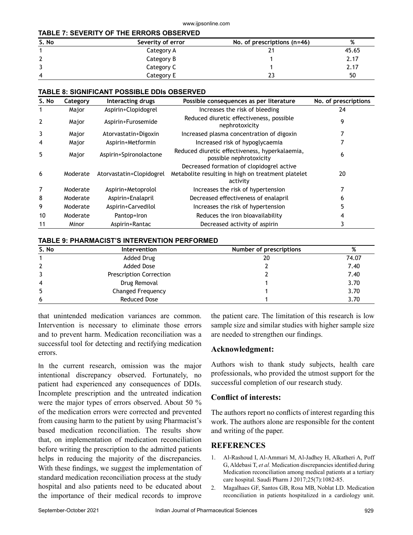#### **TABLE 7: SEVERITY OF THE ERRORS OBSERVED**

| S. No | Severity of error | No. of prescriptions $(n=46)$ | %     |
|-------|-------------------|-------------------------------|-------|
|       | Category A        |                               | 45.65 |
|       | Category B        |                               | 2.17  |
|       | Category C        |                               | 2.17  |
| 4     | Category E        |                               | 50    |

#### **TABLE 8: SIGNIFICANT POSSIBLE DDIs OBSERVED**

| S. No          | Category | Interacting drugs        | Possible consequences as per literature                                                                     | No. of prescriptions |
|----------------|----------|--------------------------|-------------------------------------------------------------------------------------------------------------|----------------------|
|                | Major    | Aspirin+Clopidogrel      | Increases the risk of bleeding                                                                              | 24                   |
| $\overline{2}$ | Major    | Aspirin+Furosemide       | Reduced diuretic effectiveness, possible<br>nephrotoxicity                                                  | 9                    |
| 3              | Major    | Atorvastatin+Digoxin     | Increased plasma concentration of digoxin                                                                   |                      |
| 4              | Major    | Aspirin+Metformin        | Increased risk of hypoglycaemia                                                                             |                      |
| 5              | Major    | Aspirin+Spironolactone   | Reduced diuretic effectiveness, hyperkalaemia,<br>possible nephrotoxicity                                   | 6                    |
| 6              | Moderate | Atorvastatin+Clopidogrel | Decreased formation of clopidogrel active<br>Metabolite resulting in high on treatment platelet<br>activity | 20                   |
| 7              | Moderate | Aspirin+Metoprolol       | Increases the risk of hypertension                                                                          | 7                    |
| 8              | Moderate | Aspirin+Enalapril        | Decreased effectiveness of enalapril                                                                        | 6                    |
| 9              | Moderate | Aspirin+Carvedilol       | Increases the risk of hypertension                                                                          | 5                    |
| 10             | Moderate | Pantop+Iron              | Reduces the iron bioavailability                                                                            | 4                    |
| 11             | Minor    | Aspirin+Rantac           | Decreased activity of aspirin                                                                               |                      |

#### **TABLE 9: PHARMACIST'S INTERVENTION PERFORMED**

| S. No          | Intervention                   | Number of prescriptions | %     |
|----------------|--------------------------------|-------------------------|-------|
|                | Added Drug                     | 20                      | 74.07 |
|                | Added Dose                     |                         | 7.40  |
|                | <b>Prescription Correction</b> |                         | 7.40  |
| $\overline{4}$ | Drug Removal                   |                         | 3.70  |
| 5              | Changed Frequency              |                         | 3.70  |
| 6              | Reduced Dose                   |                         | 3.70  |

that unintended medication variances are common. Intervention is necessary to eliminate those errors and to prevent harm. Medication reconciliation was a successful tool for detecting and rectifying medication errors.

In the current research, omission was the major intentional discrepancy observed. Fortunately, no patient had experienced any consequences of DDIs. Incomplete prescription and the untreated indication were the major types of errors observed. About 50 % of the medication errors were corrected and prevented from causing harm to the patient by using Pharmacist's based medication reconciliation. The results show that, on implementation of medication reconciliation before writing the prescription to the admitted patients helps in reducing the majority of the discrepancies. With these findings, we suggest the implementation of standard medication reconciliation process at the study hospital and also patients need to be educated about the importance of their medical records to improve the patient care. The limitation of this research is low sample size and similar studies with higher sample size are needed to strengthen our findings.

#### **Acknowledgment:**

Authors wish to thank study subjects, health care professionals, who provided the utmost support for the successful completion of our research study.

## **Conflict of interests:**

The authors report no conflicts of interest regarding this work. The authors alone are responsible for the content and writing of the paper.

## **REFERENCES**

- 1. Al-Rashoud I, Al-Ammari M, Al-Jadhey H, Alkatheri A, Poff G, Aldebasi T, *et al.* Medication discrepancies identified during Medication reconciliation among medical patients at a tertiary care hospital. Saudi Pharm J 2017;25(7):1082-85.
- 2. Magalhaes GF, Santos GB, Rosa MB, Noblat LD. Medication reconciliation in patients hospitalized in a cardiology unit.